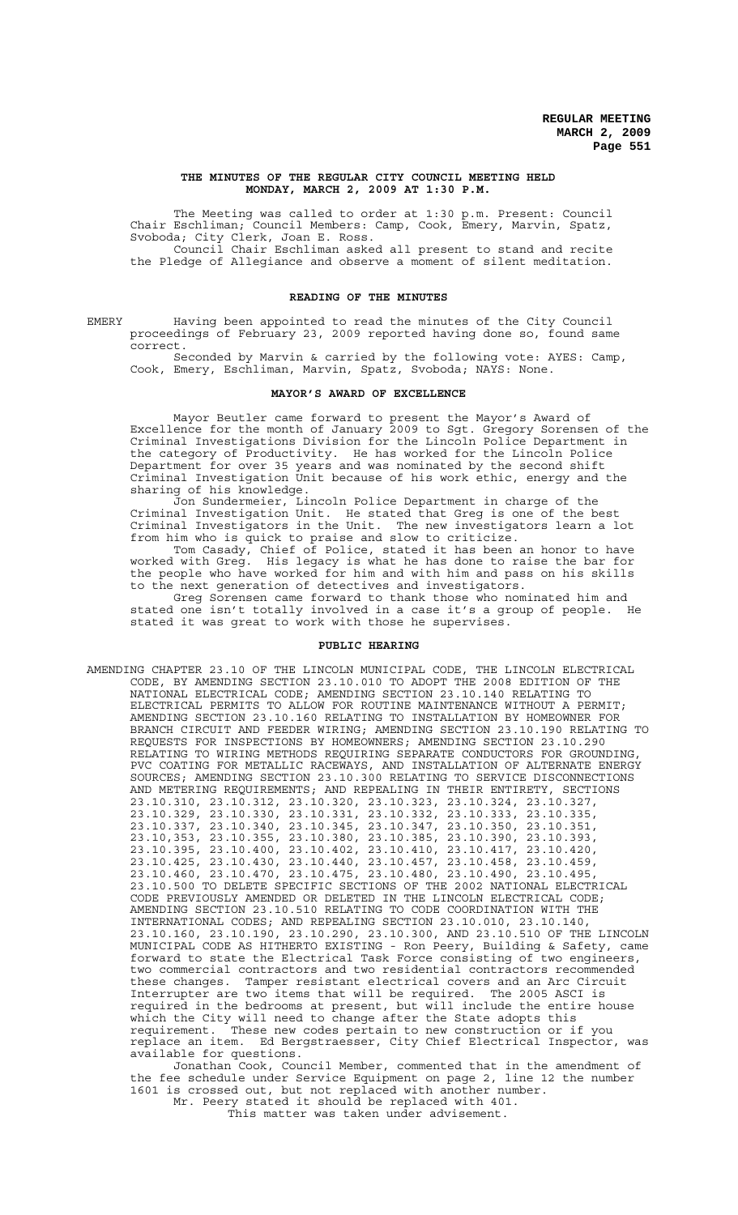#### **THE MINUTES OF THE REGULAR CITY COUNCIL MEETING HELD MONDAY, MARCH 2, 2009 AT 1:30 P.M.**

The Meeting was called to order at 1:30 p.m. Present: Council Chair Eschliman; Council Members: Camp, Cook, Emery, Marvin, Spatz, Svoboda; City Clerk, Joan E. Ross. Council Chair Eschliman asked all present to stand and recite

the Pledge of Allegiance and observe a moment of silent meditation.

## **READING OF THE MINUTES**

EMERY Having been appointed to read the minutes of the City Council proceedings of February 23, 2009 reported having done so, found same correct.

Seconded by Marvin & carried by the following vote: AYES: Camp, Cook, Emery, Eschliman, Marvin, Spatz, Svoboda; NAYS: None.

# **MAYOR'S AWARD OF EXCELLENCE**

Mayor Beutler came forward to present the Mayor's Award of Excellence for the month of January 2009 to Sgt. Gregory Sorensen of the Criminal Investigations Division for the Lincoln Police Department in the category of Productivity. He has worked for the Lincoln Police Department for over 35 years and was nominated by the second shift Criminal Investigation Unit because of his work ethic, energy and the sharing of his knowledge.

Jon Sundermeier, Lincoln Police Department in charge of the Criminal Investigation Unit. He stated that Greg is one of the best Criminal Investigators in the Unit. The new investigators learn a lot from him who is quick to praise and slow to criticize.

Tom Casady, Chief of Police, stated it has been an honor to have worked with Greg. His legacy is what he has done to raise the bar for the people who have worked for him and with him and pass on his skills to the next generation of detectives and investigators.

Greg Sorensen came forward to thank those who nominated him and stated one isn't totally involved in a case it's a group of people. He stated it was great to work with those he supervises.

# **PUBLIC HEARING**

AMENDING CHAPTER 23.10 OF THE LINCOLN MUNICIPAL CODE, THE LINCOLN ELECTRICAL CODE, BY AMENDING SECTION 23.10.010 TO ADOPT THE 2008 EDITION OF THE NATIONAL ELECTRICAL CODE; AMENDING SECTION 23.10.140 RELATING TO ELECTRICAL PERMITS TO ALLOW FOR ROUTINE MAINTENANCE WITHOUT A PERMIT; AMENDING SECTION 23.10.160 RELATING TO INSTALLATION BY HOMEOWNER FOR BRANCH CIRCUIT AND FEEDER WIRING; AMENDING SECTION 23.10.190 RELATING TO REQUESTS FOR INSPECTIONS BY HOMEOWNERS; AMENDING SECTION 23.10.290 RELATING TO WIRING METHODS REQUIRING SEPARATE CONDUCTORS FOR GROUNDING, PVC COATING FOR METALLIC RACEWAYS, AND INSTALLATION OF ALTERNATE ENERGY SOURCES; AMENDING SECTION 23.10.300 RELATING TO SERVICE DISCONNECTIONS AND METERING REQUIREMENTS; AND REPEALING IN THEIR ENTIRETY, SECTIONS 23.10.310, 23.10.312, 23.10.320, 23.10.323, 23.10.324, 23.10.327, 23.10.329, 23.10.330, 23.10.331, 23.10.332, 23.10.333, 23.10.335, 23.10.337, 23.10.340, 23.10.345, 23.10.347, 23.10.350, 23.10.351, 23.10,353, 23.10.355, 23.10.380, 23.10.385, 23.10.390, 23.10.393, 23.10.395, 23.10.400, 23.10.402, 23.10.410, 23.10.417, 23.10.420, 23.10.425, 23.10.430, 23.10.440, 23.10.457, 23.10.458, 23.10.459, 23.10.460, 23.10.470, 23.10.475, 23.10.480, 23.10.490, 23.10.495, 23.10.500 TO DELETE SPECIFIC SECTIONS OF THE 2002 NATIONAL ELECTRICAL CODE PREVIOUSLY AMENDED OR DELETED IN THE LINCOLN ELECTRICAL CODE; AMENDING SECTION 23.10.510 RELATING TO CODE COORDINATION WITH THE INTERNATIONAL CODES; AND REPEALING SECTION 23.10.010, 23.10.140, 23.10.160, 23.10.190, 23.10.290, 23.10.300, AND 23.10.510 OF THE LINCOLN MUNICIPAL CODE AS HITHERTO EXISTING - Ron Peery, Building & Safety, came forward to state the Electrical Task Force consisting of two engineers, two commercial contractors and two residential contractors recommended these changes. Tamper resistant electrical covers and an Arc Circuit Interrupter are two items that will be required. The 2005 ASCI is required in the bedrooms at present, but will include the entire house which the City will need to change after the State adopts this requirement. These new codes pertain to new construction or if you replace an item. Ed Bergstraesser, City Chief Electrical Inspector, was available for questions.

Jonathan Cook, Council Member, commented that in the amendment of the fee schedule under Service Equipment on page 2, line 12 the number 1601 is crossed out, but not replaced with another number. Mr. Peery stated it should be replaced with 401.

This matter was taken under advisement.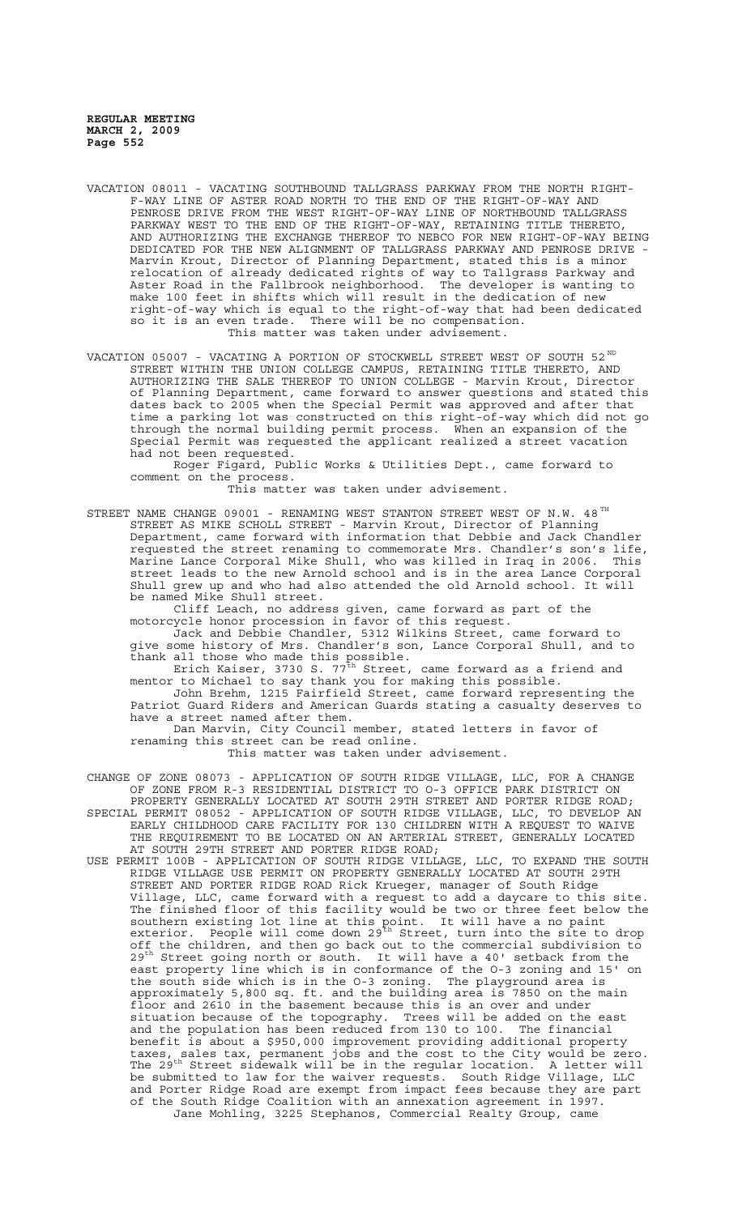- VACATION 08011 VACATING SOUTHBOUND TALLGRASS PARKWAY FROM THE NORTH RIGHT-F-WAY LINE OF ASTER ROAD NORTH TO THE END OF THE RIGHT-OF-WAY AND PENROSE DRIVE FROM THE WEST RIGHT-OF-WAY LINE OF NORTHBOUND TALLGRASS PARKWAY WEST TO THE END OF THE RIGHT-OF-WAY, RETAINING TITLE THERETO, AND AUTHORIZING THE EXCHANGE THEREOF TO NEBCO FOR NEW RIGHT-OF-WAY BEING DEDICATED FOR THE NEW ALIGNMENT OF TALLGRASS PARKWAY AND PENROSE DRIVE Marvin Krout, Director of Planning Department, stated this is a minor relocation of already dedicated rights of way to Tallgrass Parkway and Aster Road in the Fallbrook neighborhood. The developer is wanting to make 100 feet in shifts which will result in the dedication of new right-of-way which is equal to the right-of-way that had been dedicated so it is an even trade. There will be no compensation. This matter was taken under advisement.
- VACATION 05007 VACATING A PORTION OF STOCKWELL STREET WEST OF SOUTH 52 $^{\text{ND}}$ STREET WITHIN THE UNION COLLEGE CAMPUS, RETAINING TITLE THERETO, AND AUTHORIZING THE SALE THEREOF TO UNION COLLEGE - Marvin Krout, Director of Planning Department, came forward to answer questions and stated this dates back to 2005 when the Special Permit was approved and after that time a parking lot was constructed on this right-of-way which did not go through the normal building permit process. When an expansion of the Special Permit was requested the applicant realized a street vacation had not been requested.

Roger Figard, Public Works & Utilities Dept., came forward to comment on the process.

This matter was taken under advisement.

STREET NAME CHANGE 09001 - RENAMING WEST STANTON STREET WEST OF N.W. 48 $^{TH}$ STREET AS MIKE SCHOLL STREET - Marvin Krout, Director of Planning Department, came forward with information that Debbie and Jack Chandler requested the street renaming to commemorate Mrs. Chandler's son's life, Marine Lance Corporal Mike Shull, who was killed in Iraq in 2006. This street leads to the new Arnold school and is in the area Lance Corporal Shull grew up and who had also attended the old Arnold school. It will be named Mike Shull street.

Cliff Leach, no address given, came forward as part of the motorcycle honor procession in favor of this request.

Jack and Debbie Chandler, 5312 Wilkins Street, came forward to give some history of Mrs. Chandler's son, Lance Corporal Shull, and to thank all those who made this possible.

Erich Kaiser, 3730 S. 77 $^{\texttt{th}}$  Street, came forward as a friend and mentor to Michael to say thank you for making this possible.

John Brehm, 1215 Fairfield Street, came forward representing the Patriot Guard Riders and American Guards stating a casualty deserves to have a street named after them.

Dan Marvin, City Council member, stated letters in favor of renaming this street can be read online.

This matter was taken under advisement.

- CHANGE OF ZONE 08073 APPLICATION OF SOUTH RIDGE VILLAGE, LLC, FOR A CHANGE OF ZONE FROM R-3 RESIDENTIAL DISTRICT TO O-3 OFFICE PARK DISTRICT ON PROPERTY GENERALLY LOCATED AT SOUTH 29TH STREET AND PORTER RIDGE ROAD; SPECIAL PERMIT 08052 - APPLICATION OF SOUTH RIDGE VILLAGE, LLC, TO DEVELOP AN EARLY CHILDHOOD CARE FACILITY FOR 130 CHILDREN WITH A REQUEST TO WAIVE THE REQUIREMENT TO BE LOCATED ON AN ARTERIAL STREET, GENERALLY LOCATED AT SOUTH 29TH STREET AND PORTER RIDGE ROAD;
- USE PERMIT 100B APPLICATION OF SOUTH RIDGE VILLAGE, LLC, TO EXPAND THE SOUTH RIDGE VILLAGE USE PERMIT ON PROPERTY GENERALLY LOCATED AT SOUTH 29TH STREET AND PORTER RIDGE ROAD Rick Krueger, manager of South Ridge Village, LLC, came forward with a request to add a daycare to this site. The finished floor of this facility would be two or three feet below the southern existing lot line at this point. It will have a no paint exterior. People will come down 29<sup>th</sup> Street, turn into the site to drop off the children, and then go back out to the commercial subdivision to  $29<sup>th</sup>$  Street going north or south. It will have a 40' setback from the east property line which is in conformance of the O-3 zoning and 15' on the south side which is in the O-3 zoning. The playground area is approximately 5,800 sq. ft. and the building area is 7850 on the main floor and 2610 in the basement because this is an over and under situation because of the topography. Trees will be added on the east and the population has been reduced from 130 to 100. The financial benefit is about a \$950,000 improvement providing additional property taxes, sales tax, permanent jobs and the cost to the City would be zero. The 29th Street sidewalk will be in the regular location. A letter will be submitted to law for the waiver requests. South Ridge Village, LLC and Porter Ridge Road are exempt from impact fees because they are part of the South Ridge Coalition with an annexation agreement in 1997. Jane Mohling, 3225 Stephanos, Commercial Realty Group, came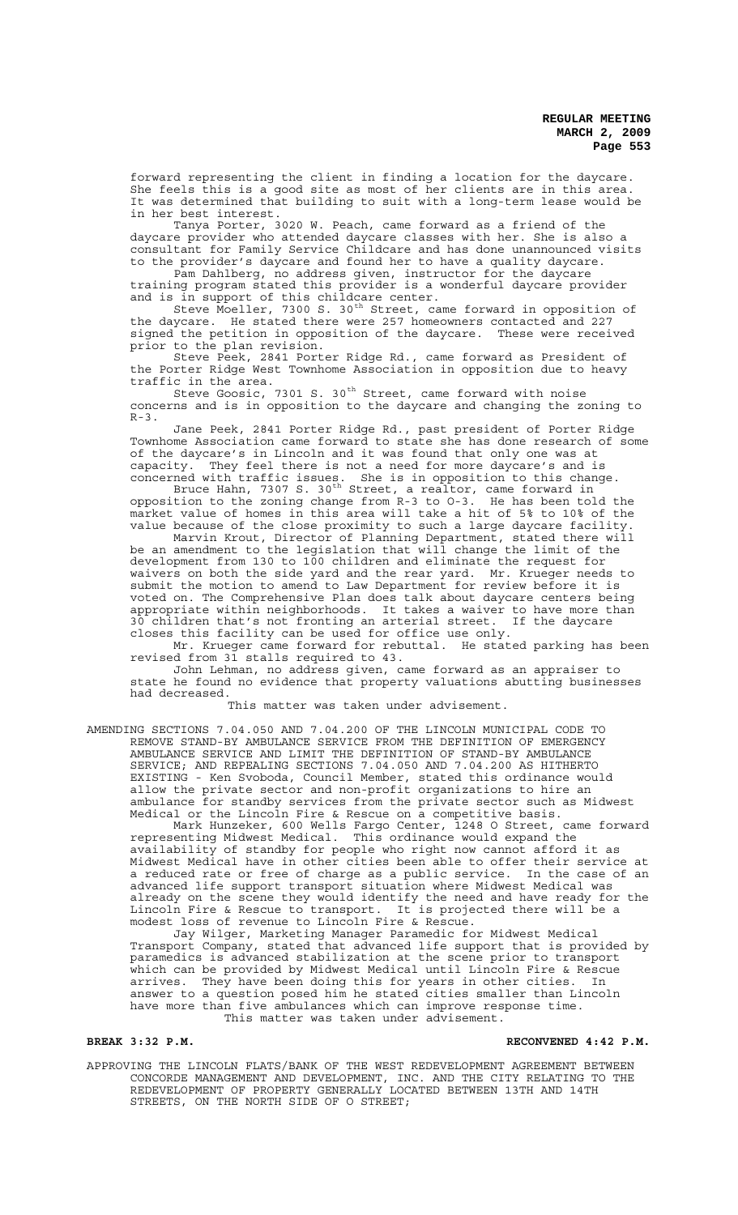forward representing the client in finding a location for the daycare. She feels this is a good site as most of her clients are in this area. It was determined that building to suit with a long-term lease would be in her best interest.

Tanya Porter, 3020 W. Peach, came forward as a friend of the daycare provider who attended daycare classes with her. She is also a consultant for Family Service Childcare and has done unannounced visits to the provider's daycare and found her to have a quality daycare.

Pam Dahlberg, no address given, instructor for the daycare training program stated this provider is a wonderful daycare provider and is in support of this childcare center.

Steve Moeller, 7300 S. 30<sup>th</sup> Street, came forward in opposition of the daycare. He stated there were 257 homeowners contacted and 227 signed the petition in opposition of the daycare. These were received prior to the plan revision.

Steve Peek, 2841 Porter Ridge Rd., came forward as President of the Porter Ridge West Townhome Association in opposition due to heavy traffic in the area.

Steve Goosic, 7301 S. 30<sup>th</sup> Street, came forward with noise concerns and is in opposition to the daycare and changing the zoning to  $R-3$ .

Jane Peek, 2841 Porter Ridge Rd., past president of Porter Ridge Townhome Association came forward to state she has done research of some of the daycare's in Lincoln and it was found that only one was at<br>capacity. They feel there is not a need for more daycare's and i They feel there is not a need for more daycare's and is concerned with traffic issues. She is in opposition to this change.

Bruce Hahn, 7307 S. 30<sup>th</sup> Street, a realtor, came forward in opposition to the zoning change from R-3 to O-3. He has been told the market value of homes in this area will take a hit of 5% to 10% of the value because of the close proximity to such a large daycare facility.

Marvin Krout, Director of Planning Department, stated there will be an amendment to the legislation that will change the limit of the development from 130 to 100 children and eliminate the request for waivers on both the side yard and the rear yard. Mr. Krueger needs to submit the motion to amend to Law Department for review before it is voted on. The Comprehensive Plan does talk about daycare centers being appropriate within neighborhoods. It takes a waiver to have more than 30 children that's not fronting an arterial street. If the daycare closes this facility can be used for office use only.

Mr. Krueger came forward for rebuttal. He stated parking has been revised from 31 stalls required to 43.

John Lehman, no address given, came forward as an appraiser to state he found no evidence that property valuations abutting businesses had decreased.

# This matter was taken under advisement.

AMENDING SECTIONS 7.04.050 AND 7.04.200 OF THE LINCOLN MUNICIPAL CODE TO REMOVE STAND-BY AMBULANCE SERVICE FROM THE DEFINITION OF EMERGENCY AMBULANCE SERVICE AND LIMIT THE DEFINITION OF STAND-BY AMBULANCE SERVICE; AND REPEALING SECTIONS 7.04.050 AND 7.04.200 AS HITHERTO EXISTING - Ken Svoboda, Council Member, stated this ordinance would allow the private sector and non-profit organizations to hire an ambulance for standby services from the private sector such as Midwest Medical or the Lincoln Fire & Rescue on a competitive basis.

Mark Hunzeker, 600 Wells Fargo Center, 1248 O Street, came forward representing Midwest Medical. This ordinance would expand the availability of standby for people who right now cannot afford it as Midwest Medical have in other cities been able to offer their service at a reduced rate or free of charge as a public service. In the case of an advanced life support transport situation where Midwest Medical was already on the scene they would identify the need and have ready for the Lincoln Fire & Rescue to transport. It is projected there will be a modest loss of revenue to Lincoln Fire & Rescue.

Jay Wilger, Marketing Manager Paramedic for Midwest Medical Transport Company, stated that advanced life support that is provided by paramedics is advanced stabilization at the scene prior to transport which can be provided by Midwest Medical until Lincoln Fire & Rescue arrives. They have been doing this for years in other cities. In answer to a question posed him he stated cities smaller than Lincoln have more than five ambulances which can improve response time. This matter was taken under advisement.

## **BREAK 3:32 P.M. RECONVENED 4:42 P.M.**

APPROVING THE LINCOLN FLATS/BANK OF THE WEST REDEVELOPMENT AGREEMENT BETWEEN CONCORDE MANAGEMENT AND DEVELOPMENT, INC. AND THE CITY RELATING TO THE REDEVELOPMENT OF PROPERTY GENERALLY LOCATED BETWEEN 13TH AND 14TH STREETS, ON THE NORTH SIDE OF O STREET;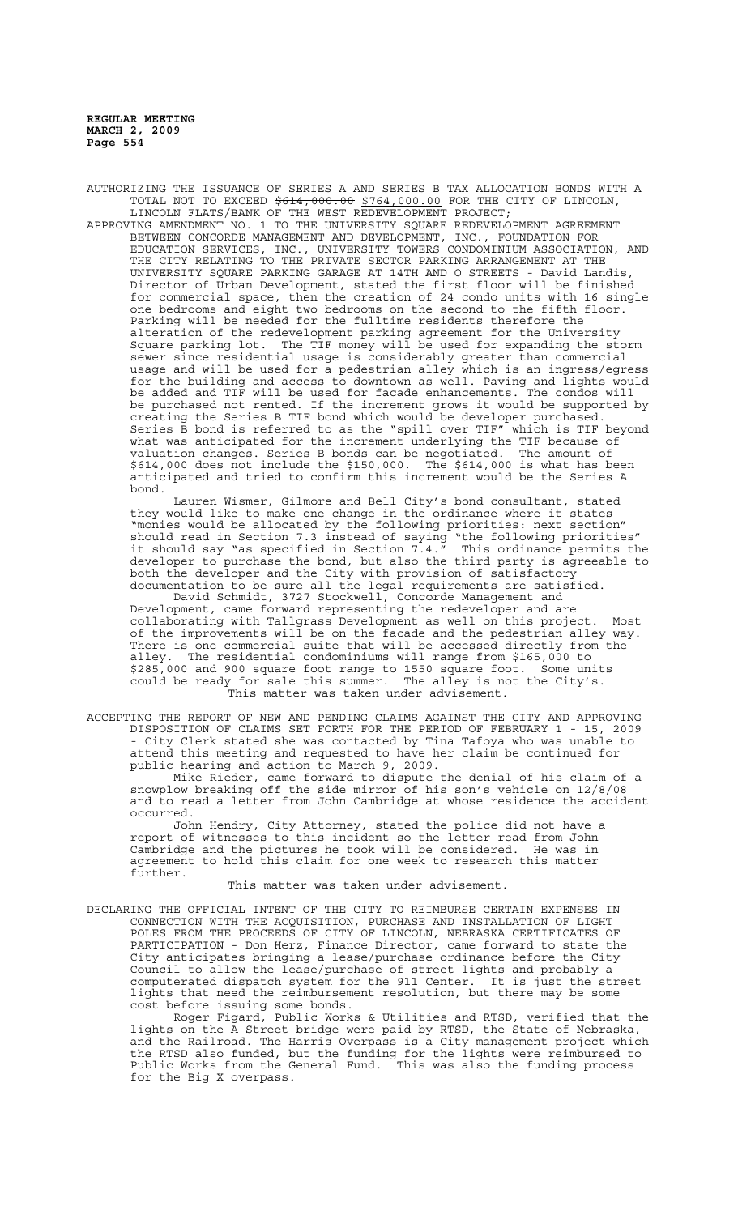AUTHORIZING THE ISSUANCE OF SERIES A AND SERIES B TAX ALLOCATION BONDS WITH A TOTAL NOT TO EXCEED  $$614,000.00$   $$764,000.00$  FOR THE CITY OF LINCOLN, LINCOLN FLATS/BANK OF THE WEST REDEVELOPMENT PROJECT;

APPROVING AMENDMENT NO. 1 TO THE UNIVERSITY SQUARE REDEVELOPMENT AGREEMENT BETWEEN CONCORDE MANAGEMENT AND DEVELOPMENT, INC., FOUNDATION FOR EDUCATION SERVICES, INC., UNIVERSITY TOWERS CONDOMINIUM ASSOCIATION, AND THE CITY RELATING TO THE PRIVATE SECTOR PARKING ARRANGEMENT AT THE UNIVERSITY SQUARE PARKING GARAGE AT 14TH AND O STREETS - David Landis, Director of Urban Development, stated the first floor will be finished for commercial space, then the creation of 24 condo units with 16 single one bedrooms and eight two bedrooms on the second to the fifth floor. Parking will be needed for the fulltime residents therefore the alteration of the redevelopment parking agreement for the University Square parking lot. The TIF money will be used for expanding the storm sewer since residential usage is considerably greater than commercial usage and will be used for a pedestrian alley which is an ingress/egress for the building and access to downtown as well. Paving and lights would be added and TIF will be used for facade enhancements. The condos will be purchased not rented. If the increment grows it would be supported by creating the Series B TIF bond which would be developer purchased. Series B bond is referred to as the "spill over TIF" which is TIF beyond what was anticipated for the increment underlying the TIF because of valuation changes. Series B bonds can be negotiated. The amount of \$614,000 does not include the \$150,000. The \$614,000 is what has been anticipated and tried to confirm this increment would be the Series A bond.

Lauren Wismer, Gilmore and Bell City's bond consultant, stated they would like to make one change in the ordinance where it states "monies would be allocated by the following priorities: next section" should read in Section 7.3 instead of saying "the following priorities" it should say "as specified in Section 7.4. $\bar{r}$  This ordinance permits the developer to purchase the bond, but also the third party is agreeable to both the developer and the City with provision of satisfactory documentation to be sure all the legal requirements are satisfied.

David Schmidt, 3727 Stockwell, Concorde Management and Development, came forward representing the redeveloper and are collaborating with Tallgrass Development as well on this project. Most of the improvements will be on the facade and the pedestrian alley way. There is one commercial suite that will be accessed directly from the alley. The residential condominiums will range from \$165,000 to \$285,000 and 900 square foot range to 1550 square foot. Some units could be ready for sale this summer. The alley is not the City's. This matter was taken under advisement.

ACCEPTING THE REPORT OF NEW AND PENDING CLAIMS AGAINST THE CITY AND APPROVING DISPOSITION OF CLAIMS SET FORTH FOR THE PERIOD OF FEBRUARY 1 - 15, 2009 City Clerk stated she was contacted by Tina Tafoya who was unable to attend this meeting and requested to have her claim be continued for public hearing and action to March 9, 2009.

Mike Rieder, came forward to dispute the denial of his claim of a snowplow breaking off the side mirror of his son's vehicle on 12/8/08 and to read a letter from John Cambridge at whose residence the accident occurred.

John Hendry, City Attorney, stated the police did not have a report of witnesses to this incident so the letter read from John Cambridge and the pictures he took will be considered. He was in agreement to hold this claim for one week to research this matter further.

#### This matter was taken under advisement.

DECLARING THE OFFICIAL INTENT OF THE CITY TO REIMBURSE CERTAIN EXPENSES IN CONNECTION WITH THE ACQUISITION, PURCHASE AND INSTALLATION OF LIGHT POLES FROM THE PROCEEDS OF CITY OF LINCOLN, NEBRASKA CERTIFICATES OF PARTICIPATION - Don Herz, Finance Director, came forward to state the City anticipates bringing a lease/purchase ordinance before the City Council to allow the lease/purchase of street lights and probably a computerated dispatch system for the 911 Center. It is just the street lights that need the reimbursement resolution, but there may be some cost before issuing some bonds.

Roger Figard, Public Works & Utilities and RTSD, verified that the lights on the A Street bridge were paid by RTSD, the State of Nebraska, and the Railroad. The Harris Overpass is a City management project which the RTSD also funded, but the funding for the lights were reimbursed to Public Works from the General Fund. This was also the funding process for the Big X overpass.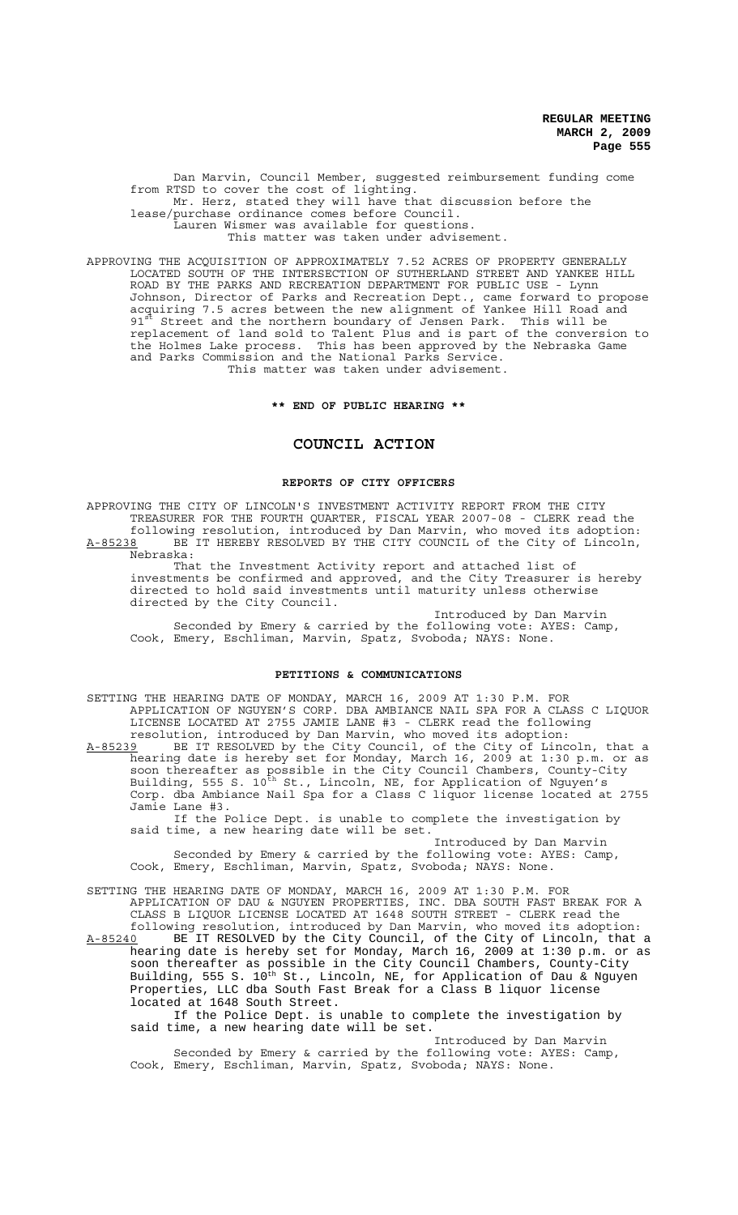Dan Marvin, Council Member, suggested reimbursement funding come from RTSD to cover the cost of lighting. Mr. Herz, stated they will have that discussion before the lease/purchase ordinance comes before Council. Lauren Wismer was available for questions. This matter was taken under advisement.

APPROVING THE ACQUISITION OF APPROXIMATELY 7.52 ACRES OF PROPERTY GENERALLY LOCATED SOUTH OF THE INTERSECTION OF SUTHERLAND STREET AND YANKEE HILL ROAD BY THE PARKS AND RECREATION DEPARTMENT FOR PUBLIC USE - Lynn Johnson, Director of Parks and Recreation Dept., came forward to propose acquiring 7.5 acres between the new alignment of Yankee Hill Road and  $91<sup>st</sup>$  Street and the northern boundary of Jensen Park. This will be replacement of land sold to Talent Plus and is part of the conversion to the Holmes Lake process. This has been approved by the Nebraska Game and Parks Commission and the National Parks Service. This matter was taken under advisement.

**\*\* END OF PUBLIC HEARING \*\***

#### **COUNCIL ACTION**

### **REPORTS OF CITY OFFICERS**

APPROVING THE CITY OF LINCOLN'S INVESTMENT ACTIVITY REPORT FROM THE CITY TREASURER FOR THE FOURTH QUARTER, FISCAL YEAR 2007-08 - CLERK read the following resolution, introduced by Dan Marvin, who moved its adoption:

A-85238 BE IT HEREBY RESOLVED BY THE CITY COUNCIL of the City of Lincoln, Nebraska:

That the Investment Activity report and attached list of investments be confirmed and approved, and the City Treasurer is hereby directed to hold said investments until maturity unless otherwise directed by the City Council.

Introduced by Dan Marvin Seconded by Emery & carried by the following vote: AYES: Camp, Cook, Emery, Eschliman, Marvin, Spatz, Svoboda; NAYS: None.

# **PETITIONS & COMMUNICATIONS**

SETTING THE HEARING DATE OF MONDAY, MARCH 16, 2009 AT 1:30 P.M. FOR APPLICATION OF NGUYEN'S CORP. DBA AMBIANCE NAIL SPA FOR A CLASS C LIQUOR LICENSE LOCATED AT 2755 JAMIE LANE #3 - CLERK read the following resolution, introduced by Dan Marvin, who moved its adoption:

A-85239 BE IT RESOLVED by the City Council, of the City of Lincoln, that a hearing date is hereby set for Monday, March 16, 2009 at 1:30 p.m. or as soon thereafter as possible in the City Council Chambers, County-City Building, 555 S. 10<sup>th</sup> St., Lincoln, NE, for Application of Nguyen's Corp. dba Ambiance Nail Spa for a Class C liquor license located at 2755 Jamie Lane #3.

If the Police Dept. is unable to complete the investigation by said time, a new hearing date will be set.

Introduced by Dan Marvin Seconded by Emery & carried by the following vote: AYES: Camp, Cook, Emery, Eschliman, Marvin, Spatz, Svoboda; NAYS: None.

SETTING THE HEARING DATE OF MONDAY, MARCH 16, 2009 AT 1:30 P.M. FOR APPLICATION OF DAU & NGUYEN PROPERTIES, INC. DBA SOUTH FAST BREAK FOR A CLASS B LIQUOR LICENSE LOCATED AT 1648 SOUTH STREET - CLERK read the following resolution, introduced by Dan Marvin, who moved its adoption: A-85240 BE IT RESOLVED by the City Council, of the City of Lincoln, that a hearing date is hereby set for Monday, March 16, 2009 at 1:30 p.m. or as

soon thereafter as possible in the City Council Chambers, County-City Building, 555 S. 10<sup>th</sup> St., Lincoln, NE, for Application of Dau & Nguyen Properties, LLC dba South Fast Break for a Class B liquor license located at 1648 South Street.

If the Police Dept. is unable to complete the investigation by said time, a new hearing date will be set.

Introduced by Dan Marvin Seconded by Emery & carried by the following vote: AYES: Camp, Cook, Emery, Eschliman, Marvin, Spatz, Svoboda; NAYS: None.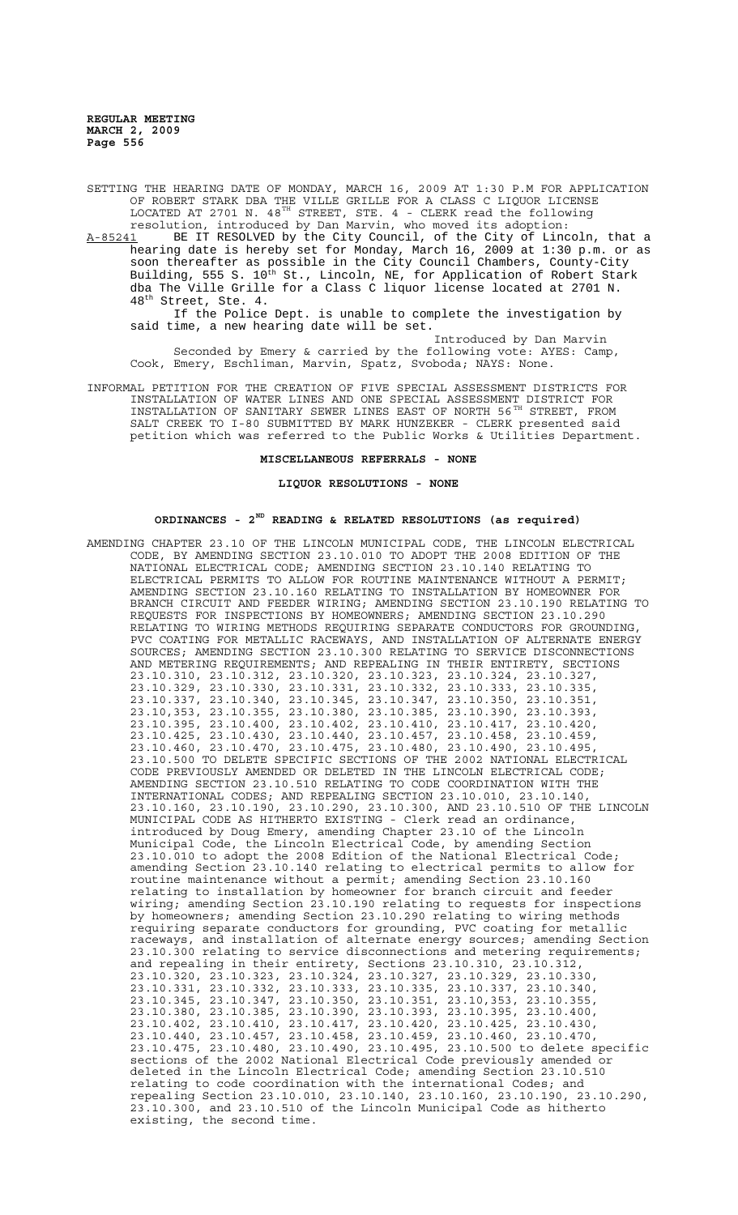SETTING THE HEARING DATE OF MONDAY, MARCH 16, 2009 AT 1:30 P.M FOR APPLICATION OF ROBERT STARK DBA THE VILLE GRILLE FOR A CLASS C LIQUOR LICENSE LOCATED AT 2701 N. 48 $^{TH}$  STREET, STE. 4 - CLERK read the following resolution, introduced by Dan Marvin, who moved its adoption:

A-85241 BE IT RESOLVED by the City Council, of the City of Lincoln, that a hearing date is hereby set for Monday, March 16, 2009 at 1:30 p.m. or as soon thereafter as possible in the City Council Chambers, County-City Building, 555 S. 10<sup>th</sup> St., Lincoln, NE, for Application of Robert Stark dba The Ville Grille for a Class C liquor license located at 2701 N. 48th Street, Ste. 4.

If the Police Dept. is unable to complete the investigation by said time, a new hearing date will be set.

Introduced by Dan Marvin Seconded by Emery & carried by the following vote: AYES: Camp, Cook, Emery, Eschliman, Marvin, Spatz, Svoboda; NAYS: None.

INFORMAL PETITION FOR THE CREATION OF FIVE SPECIAL ASSESSMENT DISTRICTS FOR INSTALLATION OF WATER LINES AND ONE SPECIAL ASSESSMENT DISTRICT FOR INSTALLATION OF SANITARY SEWER LINES EAST OF NORTH 56<sup>TH</sup> STREET, FROM SALT CREEK TO I-80 SUBMITTED BY MARK HUNZEKER - CLERK presented said petition which was referred to the Public Works & Utilities Department.

**MISCELLANEOUS REFERRALS - NONE**

#### **LIQUOR RESOLUTIONS - NONE**

# **ORDINANCES - 2ND READING & RELATED RESOLUTIONS (as required)**

AMENDING CHAPTER 23.10 OF THE LINCOLN MUNICIPAL CODE, THE LINCOLN ELECTRICAL CODE, BY AMENDING SECTION 23.10.010 TO ADOPT THE 2008 EDITION OF THE NATIONAL ELECTRICAL CODE; AMENDING SECTION 23.10.140 RELATING TO ELECTRICAL PERMITS TO ALLOW FOR ROUTINE MAINTENANCE WITHOUT A PERMIT; AMENDING SECTION 23.10.160 RELATING TO INSTALLATION BY HOMEOWNER FOR BRANCH CIRCUIT AND FEEDER WIRING; AMENDING SECTION 23.10.190 RELATING TO REQUESTS FOR INSPECTIONS BY HOMEOWNERS; AMENDING SECTION 23.10.290 RELATING TO WIRING METHODS REQUIRING SEPARATE CONDUCTORS FOR GROUNDING, PVC COATING FOR METALLIC RACEWAYS, AND INSTALLATION OF ALTERNATE ENERGY SOURCES; AMENDING SECTION 23.10.300 RELATING TO SERVICE DISCONNECTIONS AND METERING REQUIREMENTS; AND REPEALING IN THEIR ENTIRETY, SECTIONS 23.10.310, 23.10.312, 23.10.320, 23.10.323, 23.10.324, 23.10.327, 23.10.329, 23.10.330, 23.10.331, 23.10.332, 23.10.333, 23.10.335, 23.10.337, 23.10.340, 23.10.345, 23.10.347, 23.10.350, 23.10.351, 23.10,353, 23.10.355, 23.10.380, 23.10.385, 23.10.390, 23.10.393, 23.10.395, 23.10.400, 23.10.402, 23.10.410, 23.10.417, 23.10.420, 23.10.425, 23.10.430, 23.10.440, 23.10.457, 23.10.458, 23.10.459, 23.10.460, 23.10.470, 23.10.475, 23.10.480, 23.10.490, 23.10.495, 23.10.500 TO DELETE SPECIFIC SECTIONS OF THE 2002 NATIONAL ELECTRICAL CODE PREVIOUSLY AMENDED OR DELETED IN THE LINCOLN ELECTRICAL CODE; AMENDING SECTION 23.10.510 RELATING TO CODE COORDINATION WITH THE INTERNATIONAL CODES; AND REPEALING SECTION 23.10.010, 23.10.140, 23.10.160, 23.10.190, 23.10.290, 23.10.300, AND 23.10.510 OF THE LINCOLN MUNICIPAL CODE AS HITHERTO EXISTING - Clerk read an ordinance, introduced by Doug Emery, amending Chapter 23.10 of the Lincoln Municipal Code, the Lincoln Electrical Code, by amending Section 23.10.010 to adopt the 2008 Edition of the National Electrical Code; amending Section 23.10.140 relating to electrical permits to allow for routine maintenance without a permit; amending Section 23.10.160 relating to installation by homeowner for branch circuit and feeder wiring; amending Section 23.10.190 relating to requests for inspections by homeowners; amending Section 23.10.290 relating to wiring methods requiring separate conductors for grounding, PVC coating for metallic raceways, and installation of alternate energy sources; amending Section 23.10.300 relating to service disconnections and metering requirements; and repealing in their entirety, Sections 23.10.310, 23.10.312, 23.10.320, 23.10.323, 23.10.324, 23.10.327, 23.10.329, 23.10.330, 23.10.331, 23.10.332, 23.10.333, 23.10.335, 23.10.337, 23.10.340, 23.10.345, 23.10.347, 23.10.350, 23.10.351, 23.10,353, 23.10.355, 23.10.380, 23.10.385, 23.10.390, 23.10.393, 23.10.395, 23.10.400, 23.10.402, 23.10.410, 23.10.417, 23.10.420, 23.10.425, 23.10.430, 23.10.440, 23.10.457, 23.10.458, 23.10.459, 23.10.460, 23.10.470, 23.10.475, 23.10.480, 23.10.490, 23.10.495, 23.10.500 to delete specific sections of the 2002 National Electrical Code previously amended or deleted in the Lincoln Electrical Code; amending Section 23.10.510 relating to code coordination with the international Codes; and repealing Section 23.10.010, 23.10.140, 23.10.160, 23.10.190, 23.10.290, 23.10.300, and 23.10.510 of the Lincoln Municipal Code as hitherto existing, the second time.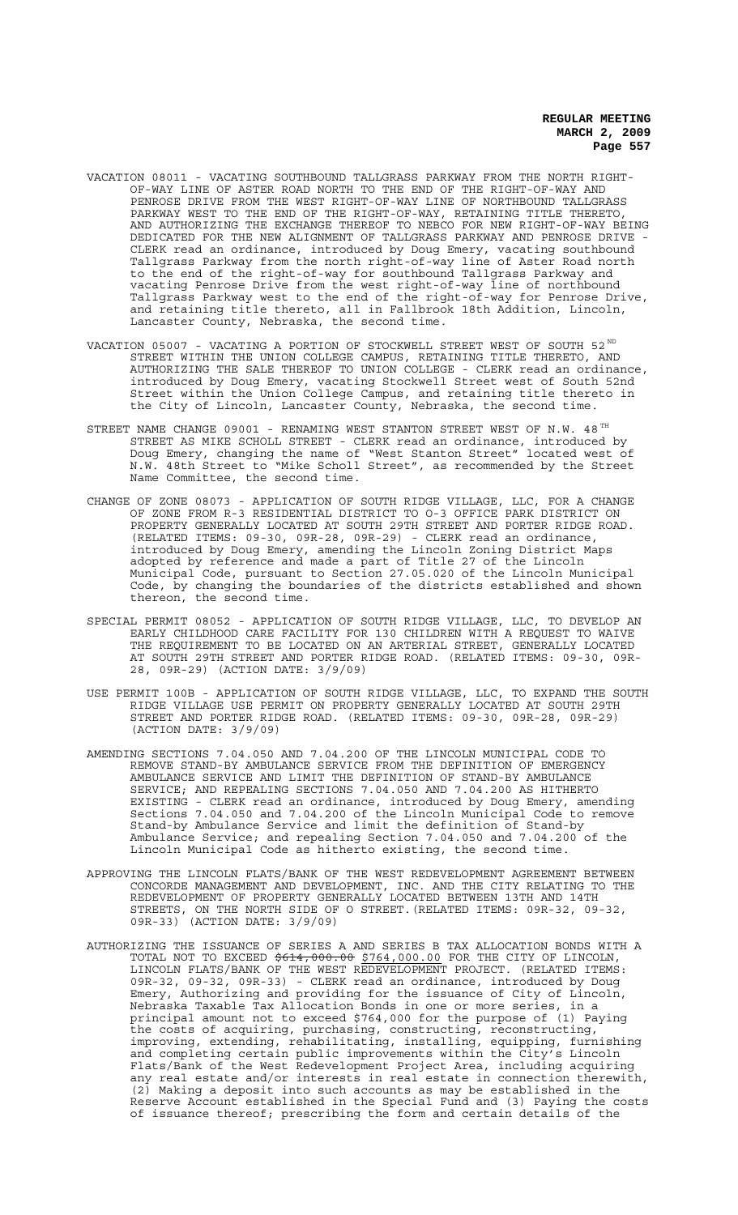- VACATION 08011 VACATING SOUTHBOUND TALLGRASS PARKWAY FROM THE NORTH RIGHT-OF-WAY LINE OF ASTER ROAD NORTH TO THE END OF THE RIGHT-OF-WAY AND PENROSE DRIVE FROM THE WEST RIGHT-OF-WAY LINE OF NORTHBOUND TALLGRASS PARKWAY WEST TO THE END OF THE RIGHT-OF-WAY, RETAINING TITLE THERETO, AND AUTHORIZING THE EXCHANGE THEREOF TO NEBCO FOR NEW RIGHT-OF-WAY BEING DEDICATED FOR THE NEW ALIGNMENT OF TALLGRASS PARKWAY AND PENROSE DRIVE CLERK read an ordinance, introduced by Doug Emery, vacating southbound Tallgrass Parkway from the north right-of-way line of Aster Road north to the end of the right-of-way for southbound Tallgrass Parkway and vacating Penrose Drive from the west right-of-way line of northbound Tallgrass Parkway west to the end of the right-of-way for Penrose Drive, and retaining title thereto, all in Fallbrook 18th Addition, Lincoln, Lancaster County, Nebraska, the second time.
- VACATION 05007 VACATING A PORTION OF STOCKWELL STREET WEST OF SOUTH 52ND STREET WITHIN THE UNION COLLEGE CAMPUS, RETAINING TITLE THERETO, AND AUTHORIZING THE SALE THEREOF TO UNION COLLEGE - CLERK read an ordinance, introduced by Doug Emery, vacating Stockwell Street west of South 52nd Street within the Union College Campus, and retaining title thereto in the City of Lincoln, Lancaster County, Nebraska, the second time.
- STREET NAME CHANGE 09001 RENAMING WEST STANTON STREET WEST OF N.W.  $48^{TH}$ STREET AS MIKE SCHOLL STREET - CLERK read an ordinance, introduced by Doug Emery, changing the name of "West Stanton Street" located west of N.W. 48th Street to "Mike Scholl Street", as recommended by the Street Name Committee, the second time.
- CHANGE OF ZONE 08073 APPLICATION OF SOUTH RIDGE VILLAGE, LLC, FOR A CHANGE OF ZONE FROM R-3 RESIDENTIAL DISTRICT TO O-3 OFFICE PARK DISTRICT ON PROPERTY GENERALLY LOCATED AT SOUTH 29TH STREET AND PORTER RIDGE ROAD. (RELATED ITEMS: 09-30, 09R-28, 09R-29) - CLERK read an ordinance, introduced by Doug Emery, amending the Lincoln Zoning District Maps adopted by reference and made a part of Title 27 of the Lincoln Municipal Code, pursuant to Section 27.05.020 of the Lincoln Municipal Code, by changing the boundaries of the districts established and shown thereon, the second time.
- SPECIAL PERMIT 08052 APPLICATION OF SOUTH RIDGE VILLAGE, LLC, TO DEVELOP AN EARLY CHILDHOOD CARE FACILITY FOR 130 CHILDREN WITH A REQUEST TO WAIVE THE REQUIREMENT TO BE LOCATED ON AN ARTERIAL STREET, GENERALLY LOCATED AT SOUTH 29TH STREET AND PORTER RIDGE ROAD. (RELATED ITEMS: 09-30, 09R-28, 09R-29) (ACTION DATE: 3/9/09)
- USE PERMIT 100B APPLICATION OF SOUTH RIDGE VILLAGE, LLC, TO EXPAND THE SOUTH RIDGE VILLAGE USE PERMIT ON PROPERTY GENERALLY LOCATED AT SOUTH 29TH STREET AND PORTER RIDGE ROAD. (RELATED ITEMS: 09-30, 09R-28, 09R-29) (ACTION DATE: 3/9/09)
- AMENDING SECTIONS 7.04.050 AND 7.04.200 OF THE LINCOLN MUNICIPAL CODE TO REMOVE STAND-BY AMBULANCE SERVICE FROM THE DEFINITION OF EMERGENCY AMBULANCE SERVICE AND LIMIT THE DEFINITION OF STAND-BY AMBULANCE SERVICE; AND REPEALING SECTIONS 7.04.050 AND 7.04.200 AS HITHERTO EXISTING - CLERK read an ordinance, introduced by Doug Emery, amending Sections 7.04.050 and 7.04.200 of the Lincoln Municipal Code to remove Stand-by Ambulance Service and limit the definition of Stand-by Ambulance Service; and repealing Section 7.04.050 and 7.04.200 of the Lincoln Municipal Code as hitherto existing, the second time.
- APPROVING THE LINCOLN FLATS/BANK OF THE WEST REDEVELOPMENT AGREEMENT BETWEEN CONCORDE MANAGEMENT AND DEVELOPMENT, INC. AND THE CITY RELATING TO THE REDEVELOPMENT OF PROPERTY GENERALLY LOCATED BETWEEN 13TH AND 14TH STREETS, ON THE NORTH SIDE OF O STREET.(RELATED ITEMS: 09R-32, 09-32, 09R-33) (ACTION DATE: 3/9/09)
- AUTHORIZING THE ISSUANCE OF SERIES A AND SERIES B TAX ALLOCATION BONDS WITH A TOTAL NOT TO EXCEED  $$614,000.00$   $$764,000.00$  FOR THE CITY OF LINCOLN, LINCOLN FLATS/BANK OF THE WEST REDEVELOPMENT PROJECT. (RELATED ITEMS: 09R-32, 09-32, 09R-33) - CLERK read an ordinance, introduced by Doug Emery, Authorizing and providing for the issuance of City of Lincoln, Nebraska Taxable Tax Allocation Bonds in one or more series, in a principal amount not to exceed \$764,000 for the purpose of (1) Paying the costs of acquiring, purchasing, constructing, reconstructing, improving, extending, rehabilitating, installing, equipping, furnishing and completing certain public improvements within the City's Lincoln Flats/Bank of the West Redevelopment Project Area, including acquiring any real estate and/or interests in real estate in connection therewith, (2) Making a deposit into such accounts as may be established in the Reserve Account established in the Special Fund and (3) Paying the costs of issuance thereof; prescribing the form and certain details of the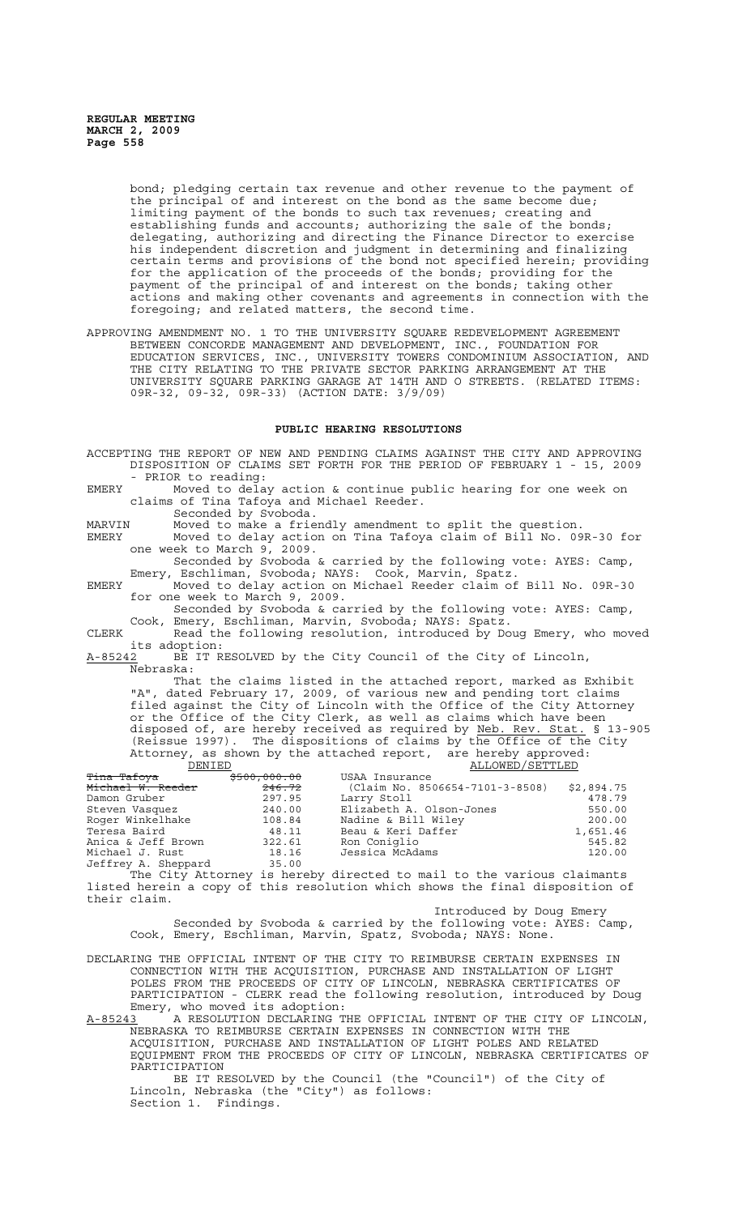bond; pledging certain tax revenue and other revenue to the payment of the principal of and interest on the bond as the same become due; limiting payment of the bonds to such tax revenues; creating and establishing funds and accounts; authorizing the sale of the bonds; delegating, authorizing and directing the Finance Director to exercise his independent discretion and judgment in determining and finalizing certain terms and provisions of the bond not specified herein; providing for the application of the proceeds of the bonds; providing for the payment of the principal of and interest on the bonds; taking other actions and making other covenants and agreements in connection with the foregoing; and related matters, the second time.

APPROVING AMENDMENT NO. 1 TO THE UNIVERSITY SQUARE REDEVELOPMENT AGREEMENT BETWEEN CONCORDE MANAGEMENT AND DEVELOPMENT, INC., FOUNDATION FOR EDUCATION SERVICES, INC., UNIVERSITY TOWERS CONDOMINIUM ASSOCIATION, AND THE CITY RELATING TO THE PRIVATE SECTOR PARKING ARRANGEMENT AT THE UNIVERSITY SQUARE PARKING GARAGE AT 14TH AND O STREETS. (RELATED ITEMS: 09R-32, 09-32, 09R-33) (ACTION DATE: 3/9/09)

## **PUBLIC HEARING RESOLUTIONS**

ACCEPTING THE REPORT OF NEW AND PENDING CLAIMS AGAINST THE CITY AND APPROVING DISPOSITION OF CLAIMS SET FORTH FOR THE PERIOD OF FEBRUARY 1 - 15, 2009 PRIOR to reading: EMERY Moved to delay action & continue public hearing for one week on claims of Tina Tafoya and Michael Reeder. Seconded by Svoboda. MARVIN Moved to make a friendly amendment to split the question.

EMERY Moved to delay action on Tina Tafoya claim of Bill No. 09R-30 for one week to March 9, 2009.

Seconded by Svoboda & carried by the following vote: AYES: Camp, Emery, Eschliman, Svoboda; NAYS: Cook, Marvin, Spatz.

EMERY Moved to delay action on Michael Reeder claim of Bill No. 09R-30 for one week to March 9, 2009.

Seconded by Svoboda & carried by the following vote: AYES: Camp, Cook, Emery, Eschliman, Marvin, Svoboda; NAYS: Spatz.

CLERK Read the following resolution, introduced by Doug Emery, who moved its adoption:<br>A-85242 BE IT R

BE IT RESOLVED by the City Council of the City of Lincoln, <u>=</u><br>Nebraska:

That the claims listed in the attached report, marked as Exhibit "A", dated February 17, 2009, of various new and pending tort claims filed against the City of Lincoln with the Office of the City Attorney or the Office of the City Clerk, as well as claims which have been disposed of, are hereby received as required by Neb. Rev. Stat. § 13-905 (Reissue 1997). The dispositions of claims by the Office of the City Attorney, as shown by the attached report, are hereby approved:<br>DENIED ALLOWED/SETTLED ALLOWED/SETTLED

| <del>Tina Tafoya</del> | <del>\$500,000.00</del> | USAA Insurance                  |            |
|------------------------|-------------------------|---------------------------------|------------|
| Michael W. Reeder      | 246.72                  | (Claim No. 8506654-7101-3-8508) | \$2,894.75 |
| Damon Gruber           | 297.95                  | Larry Stoll                     | 478.79     |
| Steven Vasquez         | 240.00                  | Elizabeth A. Olson-Jones        | 550.00     |
| Roger Winkelhake       | 108.84                  | Nadine & Bill Wiley             | 200.00     |
| Teresa Baird           | 48.11                   | Beau & Keri Daffer              | 1,651.46   |
| Anica & Jeff Brown     | 322.61                  | Ron Coniglio                    | 545.82     |
| Michael J. Rust        | 18.16                   | Jessica McAdams                 | 120.00     |
| Jeffrey A. Sheppard    | 35.00                   |                                 |            |

The City Attorney is hereby directed to mail to the various claimants listed herein a copy of this resolution which shows the final disposition of their claim.

Introduced by Doug Emery Seconded by Svoboda & carried by the following vote: AYES: Camp, Cook, Emery, Eschliman, Marvin, Spatz, Svoboda; NAYS: None.

DECLARING THE OFFICIAL INTENT OF THE CITY TO REIMBURSE CERTAIN EXPENSES IN CONNECTION WITH THE ACQUISITION, PURCHASE AND INSTALLATION OF LIGHT POLES FROM THE PROCEEDS OF CITY OF LINCOLN, NEBRASKA CERTIFICATES OF PARTICIPATION - CLERK read the following resolution, introduced by Doug Emery, who moved its adoption:

A-85243 A RESOLUTION DECLARING THE OFFICIAL INTENT OF THE CITY OF LINCOLN, NEBRASKA TO REIMBURSE CERTAIN EXPENSES IN CONNECTION WITH THE ACQUISITION, PURCHASE AND INSTALLATION OF LIGHT POLES AND RELATED EQUIPMENT FROM THE PROCEEDS OF CITY OF LINCOLN, NEBRASKA CERTIFICATES OF PARTICIPATION

BE IT RESOLVED by the Council (the "Council") of the City of Lincoln, Nebraska (the "City") as follows: Section 1. Findings.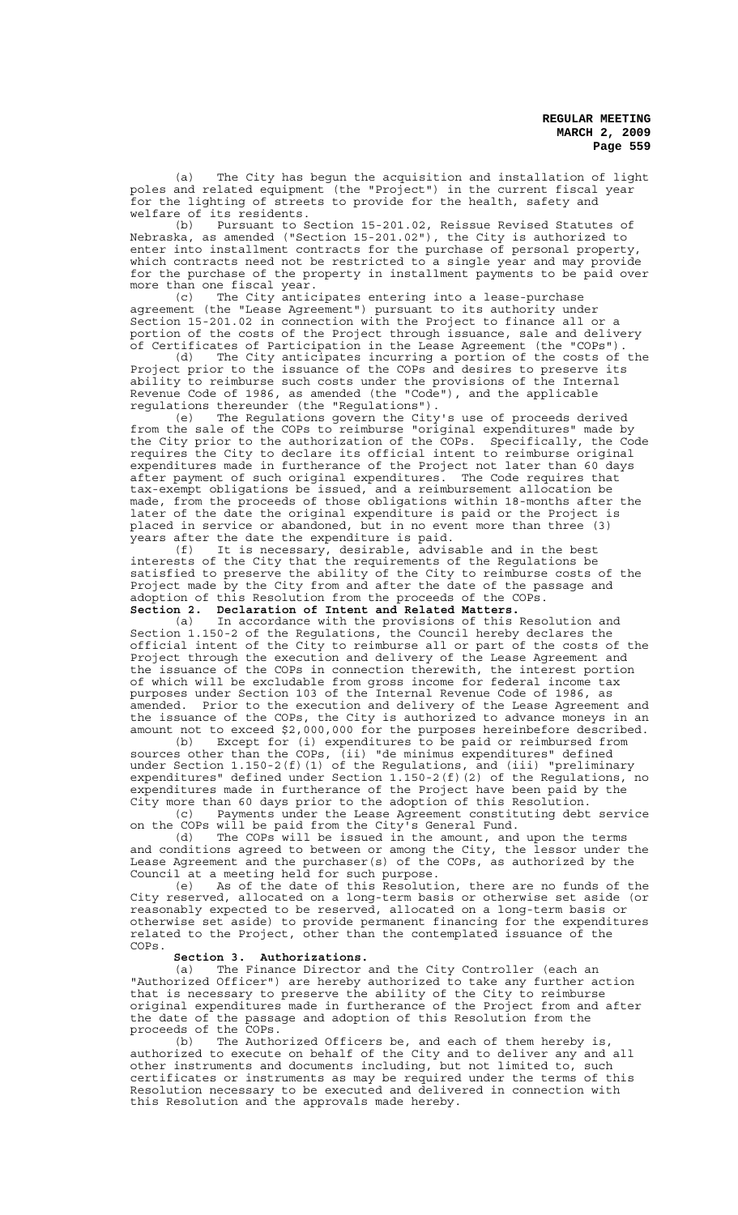(a) The City has begun the acquisition and installation of light poles and related equipment (the "Project") in the current fiscal year for the lighting of streets to provide for the health, safety and welfare of its residents.<br>(b) Pursuant to S

Pursuant to Section 15-201.02, Reissue Revised Statutes of Nebraska, as amended ("Section 15-201.02"), the City is authorized to enter into installment contracts for the purchase of personal property, which contracts need not be restricted to a single year and may provide for the purchase of the property in installment payments to be paid over more than one fiscal year.

(c) The City anticipates entering into a lease-purchase agreement (the "Lease Agreement") pursuant to its authority under Section 15-201.02 in connection with the Project to finance all or a portion of the costs of the Project through issuance, sale and delivery of Certificates of Participation in the Lease Agreement (the "COPs").

(d) The City anticipates incurring a portion of the costs of the Project prior to the issuance of the COPs and desires to preserve its ability to reimburse such costs under the provisions of the Internal Revenue Code of 1986, as amended (the "Code"), and the applicable regulations thereunder (the "Regulations").

(e) The Regulations govern the City's use of proceeds derived from the sale of the COPs to reimburse "original expenditures" made by the City prior to the authorization of the COPs. Specifically, the Code requires the City to declare its official intent to reimburse original expenditures made in furtherance of the Project not later than 60 days after payment of such original expenditures. The Code requires that tax-exempt obligations be issued, and a reimbursement allocation be made, from the proceeds of those obligations within 18-months after the later of the date the original expenditure is paid or the Project is placed in service or abandoned, but in no event more than three (3) years after the date the expenditure is paid.

(f) It is necessary, desirable, advisable and in the best interests of the City that the requirements of the Regulations be satisfied to preserve the ability of the City to reimburse costs of the Project made by the City from and after the date of the passage and adoption of this Resolution from the proceeds of the COPs. **Section 2. Declaration of Intent and Related Matters.**

(a) In accordance with the provisions of this Resolution and Section 1.150-2 of the Regulations, the Council hereby declares the official intent of the City to reimburse all or part of the costs of the Project through the execution and delivery of the Lease Agreement and the issuance of the COPs in connection therewith, the interest portion of which will be excludable from gross income for federal income tax purposes under Section 103 of the Internal Revenue Code of 1986, as amended. Prior to the execution and delivery of the Lease Agreement and the issuance of the COPs, the City is authorized to advance moneys in an amount not to exceed \$2,000,000 for the purposes hereinbefore described.

(b) Except for (i) expenditures to be paid or reimbursed from sources other than the COPs, (ii) "de minimus expenditures" defined under Section 1.150-2(f)(1) of the Regulations, and (iii) "preliminary expenditures" defined under Section 1.150-2(f)(2) of the Regulations, no expenditures made in furtherance of the Project have been paid by the City more than 60 days prior to the adoption of this Resolution.<br>(c) Payments under the Lease Agreement constituting debt

Payments under the Lease Agreement constituting debt service on the COPs will be paid from the City's General Fund.

(d) The COPs will be issued in the amount, and upon the terms and conditions agreed to between or among the City, the lessor under the Lease Agreement and the purchaser(s) of the COPs, as authorized by the Council at a meeting held for such purpose.

(e) As of the date of this Resolution, there are no funds of the City reserved, allocated on a long-term basis or otherwise set aside (or reasonably expected to be reserved, allocated on a long-term basis or otherwise set aside) to provide permanent financing for the expenditures related to the Project, other than the contemplated issuance of the COPs.

# **Section 3. Authorizations.**

(a) The Finance Director and the City Controller (each an "Authorized Officer") are hereby authorized to take any further action that is necessary to preserve the ability of the City to reimburse original expenditures made in furtherance of the Project from and after the date of the passage and adoption of this Resolution from the proceeds of the COPs.

(b) The Authorized Officers be, and each of them hereby is, authorized to execute on behalf of the City and to deliver any and all other instruments and documents including, but not limited to, such certificates or instruments as may be required under the terms of this Resolution necessary to be executed and delivered in connection with this Resolution and the approvals made hereby.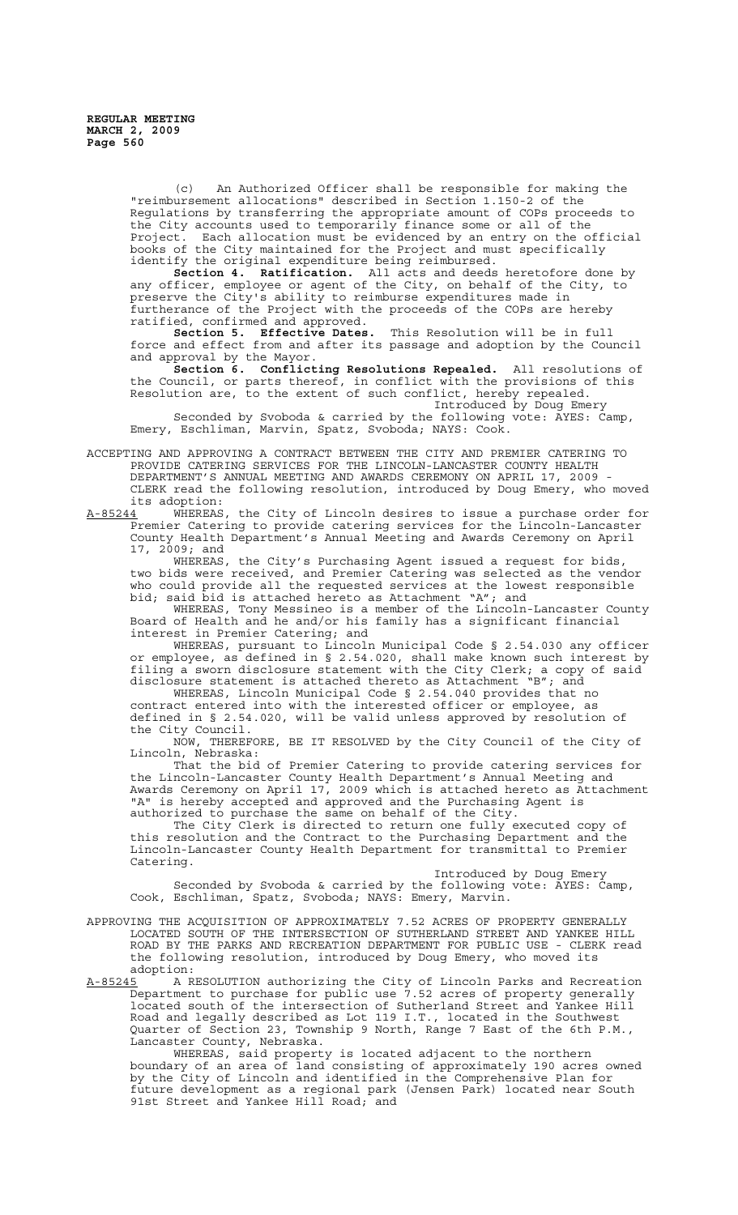(c) An Authorized Officer shall be responsible for making the "reimbursement allocations" described in Section 1.150-2 of the Regulations by transferring the appropriate amount of COPs proceeds to the City accounts used to temporarily finance some or all of the Project. Each allocation must be evidenced by an entry on the official books of the City maintained for the Project and must specifically identify the original expenditure being reimbursed.

**Section 4. Ratification.** All acts and deeds heretofore done by any officer, employee or agent of the City, on behalf of the City, to preserve the City's ability to reimburse expenditures made in furtherance of the Project with the proceeds of the COPs are hereby ratified, confirmed and approved.

**Section 5. Effective Dates.** This Resolution will be in full force and effect from and after its passage and adoption by the Council and approval by the Mayor.

**Section 6. Conflicting Resolutions Repealed.** All resolutions of the Council, or parts thereof, in conflict with the provisions of this Resolution are, to the extent of such conflict, hereby repealed. Introduced by Doug Emery

Seconded by Svoboda & carried by the following vote: AYES: Camp, Emery, Eschliman, Marvin, Spatz, Svoboda; NAYS: Cook.

ACCEPTING AND APPROVING A CONTRACT BETWEEN THE CITY AND PREMIER CATERING TO PROVIDE CATERING SERVICES FOR THE LINCOLN-LANCASTER COUNTY HEALTH DEPARTMENT'S ANNUAL MEETING AND AWARDS CEREMONY ON APRIL 17, 2009 CLERK read the following resolution, introduced by Doug Emery, who moved

its adoption:<br>A-85244 WHEREAS A-85244 WHEREAS, the City of Lincoln desires to issue a purchase order for Premier Catering to provide catering services for the Lincoln-Lancaster County Health Department's Annual Meeting and Awards Ceremony on April 17, 2009; and

WHEREAS, the City's Purchasing Agent issued a request for bids, two bids were received, and Premier Catering was selected as the vendor who could provide all the requested services at the lowest responsible bid; said bid is attached hereto as Attachment "A"; and

WHEREAS, Tony Messineo is a member of the Lincoln-Lancaster County Board of Health and he and/or his family has a significant financial interest in Premier Catering; and

WHEREAS, pursuant to Lincoln Municipal Code § 2.54.030 any officer or employee, as defined in § 2.54.020, shall make known such interest by filing a sworn disclosure statement with the City Clerk; a copy of said disclosure statement is attached thereto as Attachment "B"; and disclosure statement is attached thereto as Attachment "B"; and WHEREAS, Lincoln Municipal Code § 2.54.040 provides that no

contract entered into with the interested officer or employee, as defined in § 2.54.020, will be valid unless approved by resolution of the City Council.

NOW, THEREFORE, BE IT RESOLVED by the City Council of the City of Lincoln, Nebraska:

That the bid of Premier Catering to provide catering services for the Lincoln-Lancaster County Health Department's Annual Meeting and Awards Ceremony on April 17, 2009 which is attached hereto as Attachment "A" is hereby accepted and approved and the Purchasing Agent is authorized to purchase the same on behalf of the City.

The City Clerk is directed to return one fully executed copy of this resolution and the Contract to the Purchasing Department and the Lincoln-Lancaster County Health Department for transmittal to Premier Catering.

Introduced by Doug Emery

Seconded by Svoboda & carried by the following vote: AYES: Camp, Cook, Eschliman, Spatz, Svoboda; NAYS: Emery, Marvin.

APPROVING THE ACQUISITION OF APPROXIMATELY 7.52 ACRES OF PROPERTY GENERALLY LOCATED SOUTH OF THE INTERSECTION OF SUTHERLAND STREET AND YANKEE HILL ROAD BY THE PARKS AND RECREATION DEPARTMENT FOR PUBLIC USE - CLERK read the following resolution, introduced by Doug Emery, who moved its

adoption:<br>A-85245 A R A-85245 A RESOLUTION authorizing the City of Lincoln Parks and Recreation Department to purchase for public use 7.52 acres of property generally located south of the intersection of Sutherland Street and Yankee Hill Road and legally described as Lot 119 I.T., located in the Southwest Quarter of Section 23, Township 9 North, Range 7 East of the 6th P.M., Lancaster County, Nebraska.

WHEREAS, said property is located adjacent to the northern boundary of an area of land consisting of approximately 190 acres owned by the City of Lincoln and identified in the Comprehensive Plan for future development as a regional park (Jensen Park) located near South 91st Street and Yankee Hill Road; and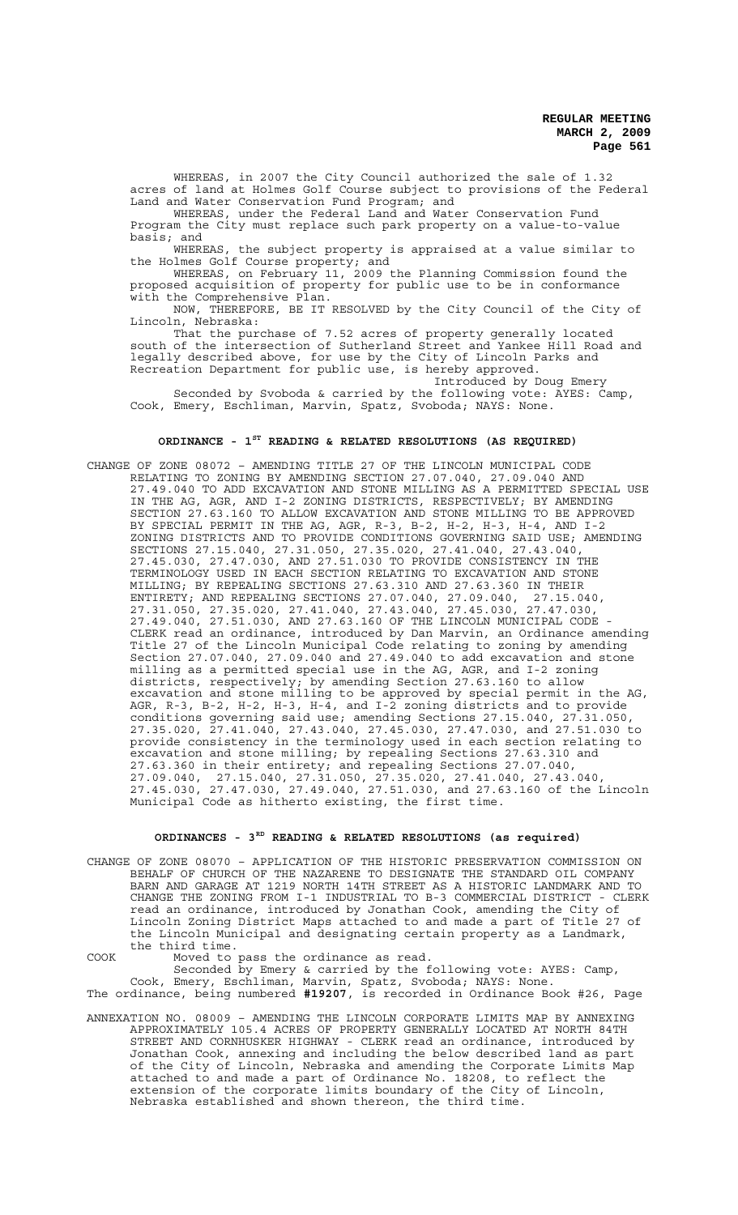WHEREAS, in 2007 the City Council authorized the sale of 1.32 acres of land at Holmes Golf Course subject to provisions of the Federal Land and Water Conservation Fund Program; and

WHEREAS, under the Federal Land and Water Conservation Fund Program the City must replace such park property on a value-to-value

basis; and<br>WHEREAS, WHEREAS, the subject property is appraised at a value similar to the Holmes Golf Course property; and

WHEREAS, on February 11, 2009 the Planning Commission found the proposed acquisition of property for public use to be in conformance with the Comprehensive Plan.

NOW, THEREFORE, BE IT RESOLVED by the City Council of the City of Lincoln, Nebraska:

That the purchase of 7.52 acres of property generally located south of the intersection of Sutherland Street and Yankee Hill Road and legally described above, for use by the City of Lincoln Parks and Recreation Department for public use, is hereby approved.

Introduced by Doug Emery Seconded by Svoboda & carried by the following vote: AYES: Camp, Cook, Emery, Eschliman, Marvin, Spatz, Svoboda; NAYS: None.

## **ORDINANCE - 1ST READING & RELATED RESOLUTIONS (AS REQUIRED)**

CHANGE OF ZONE 08072 – AMENDING TITLE 27 OF THE LINCOLN MUNICIPAL CODE RELATING TO ZONING BY AMENDING SECTION 27.07.040, 27.09.040 AND 27.49.040 TO ADD EXCAVATION AND STONE MILLING AS A PERMITTED SPECIAL USE IN THE AG, AGR, AND I-2 ZONING DISTRICTS, RESPECTIVELY; BY AMENDING SECTION 27.63.160 TO ALLOW EXCAVATION AND STONE MILLING TO BE APPROVED BY SPECIAL PERMIT IN THE AG, AGR, R-3, B-2, H-2, H-3, H-4, AND I-2 ZONING DISTRICTS AND TO PROVIDE CONDITIONS GOVERNING SAID USE; AMENDING SECTIONS 27.15.040, 27.31.050, 27.35.020, 27.41.040, 27.43.040, 27.45.030, 27.47.030, AND 27.51.030 TO PROVIDE CONSISTENCY IN THE TERMINOLOGY USED IN EACH SECTION RELATING TO EXCAVATION AND STONE MILLING; BY REPEALING SECTIONS 27.63.310 AND 27.63.360 IN THEIR ENTIRETY; AND REPEALING SECTIONS 27.07.040, 27.09.040, 27.15.040, 27.31.050, 27.35.020, 27.41.040, 27.43.040, 27.45.030, 27.47.030, 27.49.040, 27.51.030, AND 27.63.160 OF THE LINCOLN MUNICIPAL CODE - CLERK read an ordinance, introduced by Dan Marvin, an Ordinance amending Title 27 of the Lincoln Municipal Code relating to zoning by amending Section 27.07.040, 27.09.040 and 27.49.040 to add excavation and stone milling as a permitted special use in the AG, AGR, and I-2 zoning districts, respectively; by amending Section 27.63.160 to allow excavation and stone milling to be approved by special permit in the AG, AGR, R-3, B-2, H-2, H-3, H-4, and I-2 zoning districts and to provide conditions governing said use; amending Sections 27.15.040, 27.31.050, 27.35.020, 27.41.040, 27.43.040, 27.45.030, 27.47.030, and 27.51.030 to provide consistency in the terminology used in each section relating to excavation and stone milling; by repealing Sections 27.63.310 and 27.63.360 in their entirety; and repealing Sections 27.07.040, 27.09.040, 27.15.040, 27.31.050, 27.35.020, 27.41.040, 27.43.040, 27.45.030, 27.47.030, 27.49.040, 27.51.030, and 27.63.160 of the Lincoln Municipal Code as hitherto existing, the first time.

# **ORDINANCES - 3RD READING & RELATED RESOLUTIONS (as required)**

CHANGE OF ZONE 08070 – APPLICATION OF THE HISTORIC PRESERVATION COMMISSION ON BEHALF OF CHURCH OF THE NAZARENE TO DESIGNATE THE STANDARD OIL COMPANY BARN AND GARAGE AT 1219 NORTH 14TH STREET AS A HISTORIC LANDMARK AND TO CHANGE THE ZONING FROM I-1 INDUSTRIAL TO B-3 COMMERCIAL DISTRICT - CLERK read an ordinance, introduced by Jonathan Cook, amending the City of Lincoln Zoning District Maps attached to and made a part of Title 27 of the Lincoln Municipal and designating certain property as a Landmark, the third time.

COOK Moved to pass the ordinance as read.

Seconded by Emery & carried by the following vote: AYES: Camp, Cook, Emery, Eschliman, Marvin, Spatz, Svoboda; NAYS: None. The ordinance, being numbered **#19207**, is recorded in Ordinance Book #26, Page

ANNEXATION NO. 08009 – AMENDING THE LINCOLN CORPORATE LIMITS MAP BY ANNEXING APPROXIMATELY 105.4 ACRES OF PROPERTY GENERALLY LOCATED AT NORTH 84TH STREET AND CORNHUSKER HIGHWAY - CLERK read an ordinance, introduced by Jonathan Cook, annexing and including the below described land as part of the City of Lincoln, Nebraska and amending the Corporate Limits Map attached to and made a part of Ordinance No. 18208, to reflect the extension of the corporate limits boundary of the City of Lincoln, Nebraska established and shown thereon, the third time.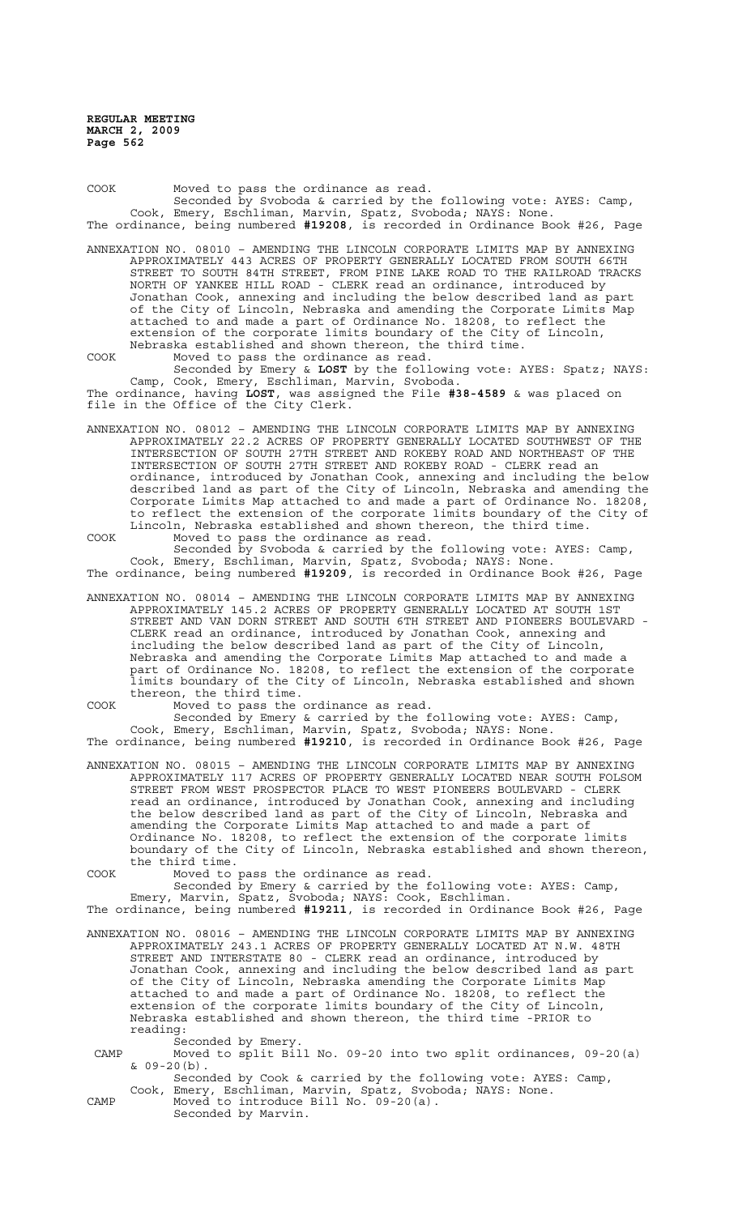COOK Moved to pass the ordinance as read. Seconded by Svoboda & carried by the following vote: AYES: Camp, Cook, Emery, Eschliman, Marvin, Spatz, Svoboda; NAYS: None. The ordinance, being numbered **#19208**, is recorded in Ordinance Book #26, Page ANNEXATION NO. 08010 – AMENDING THE LINCOLN CORPORATE LIMITS MAP BY ANNEXING APPROXIMATELY 443 ACRES OF PROPERTY GENERALLY LOCATED FROM SOUTH 66TH STREET TO SOUTH 84TH STREET, FROM PINE LAKE ROAD TO THE RAILROAD TRACKS NORTH OF YANKEE HILL ROAD - CLERK read an ordinance, introduced by Jonathan Cook, annexing and including the below described land as part of the City of Lincoln, Nebraska and amending the Corporate Limits Map attached to and made a part of Ordinance No. 18208, to reflect the extension of the corporate limits boundary of the City of Lincoln, Nebraska established and shown thereon, the third time.

COOK Moved to pass the ordinance as read. Seconded by Emery & **LOST** by the following vote: AYES: Spatz; NAYS: Camp, Cook, Emery, Eschliman, Marvin, Svoboda.

The ordinance, having **LOST**, was assigned the File **#38-4589** & was placed on file in the Office of the City Clerk.

ANNEXATION NO. 08012 – AMENDING THE LINCOLN CORPORATE LIMITS MAP BY ANNEXING APPROXIMATELY 22.2 ACRES OF PROPERTY GENERALLY LOCATED SOUTHWEST OF THE INTERSECTION OF SOUTH 27TH STREET AND ROKEBY ROAD AND NORTHEAST OF THE INTERSECTION OF SOUTH 27TH STREET AND ROKEBY ROAD - CLERK read an ordinance, introduced by Jonathan Cook, annexing and including the below described land as part of the City of Lincoln, Nebraska and amending the Corporate Limits Map attached to and made a part of Ordinance No. 18208, to reflect the extension of the corporate limits boundary of the City of Lincoln, Nebraska established and shown thereon, the third time. COOK Moved to pass the ordinance as read.

Seconded by Svoboda & carried by the following vote: AYES: Camp, Cook, Emery, Eschliman, Marvin, Spatz, Svoboda; NAYS: None. The ordinance, being numbered **#19209**, is recorded in Ordinance Book #26, Page

ANNEXATION NO. 08014 – AMENDING THE LINCOLN CORPORATE LIMITS MAP BY ANNEXING APPROXIMATELY 145.2 ACRES OF PROPERTY GENERALLY LOCATED AT SOUTH 1ST STREET AND VAN DORN STREET AND SOUTH 6TH STREET AND PIONEERS BOULEVARD - CLERK read an ordinance, introduced by Jonathan Cook, annexing and including the below described land as part of the City of Lincoln, Nebraska and amending the Corporate Limits Map attached to and made a part of Ordinance No. 18208, to reflect the extension of the corporate limits boundary of the City of Lincoln, Nebraska established and shown thereon, the third time.

COOK Moved to pass the ordinance as read.

Seconded by Emery & carried by the following vote: AYES: Camp, Cook, Emery, Eschliman, Marvin, Spatz, Svoboda; NAYS: None. The ordinance, being numbered **#19210**, is recorded in Ordinance Book #26, Page

ANNEXATION NO. 08015 – AMENDING THE LINCOLN CORPORATE LIMITS MAP BY ANNEXING APPROXIMATELY 117 ACRES OF PROPERTY GENERALLY LOCATED NEAR SOUTH FOLSOM STREET FROM WEST PROSPECTOR PLACE TO WEST PIONEERS BOULEVARD - CLERK read an ordinance, introduced by Jonathan Cook, annexing and including the below described land as part of the City of Lincoln, Nebraska and amending the Corporate Limits Map attached to and made a part of Ordinance No. 18208, to reflect the extension of the corporate limits boundary of the City of Lincoln, Nebraska established and shown thereon, the third time.

COOK Moved to pass the ordinance as read.

Seconded by Emery & carried by the following vote: AYES: Camp, Emery, Marvin, Spatz, Svoboda; NAYS: Cook, Eschliman. The ordinance, being numbered **#19211**, is recorded in Ordinance Book #26, Page

ANNEXATION NO. 08016 – AMENDING THE LINCOLN CORPORATE LIMITS MAP BY ANNEXING APPROXIMATELY 243.1 ACRES OF PROPERTY GENERALLY LOCATED AT N.W. 48TH STREET AND INTERSTATE 80 - CLERK read an ordinance, introduced by Jonathan Cook, annexing and including the below described land as part of the City of Lincoln, Nebraska amending the Corporate Limits Map attached to and made a part of Ordinance No. 18208, to reflect the extension of the corporate limits boundary of the City of Lincoln, Nebraska established and shown thereon, the third time -PRIOR to reading:

Seconded by Emery.

 CAMP Moved to split Bill No. 09-20 into two split ordinances, 09-20(a)  $& 09-20(b)$ .

Seconded by Cook & carried by the following vote: AYES: Camp, Cook, Emery, Eschliman, Marvin, Spatz, Svoboda; NAYS: None.

CAMP Moved to introduce Bill No. 09-20(a). Seconded by Marvin.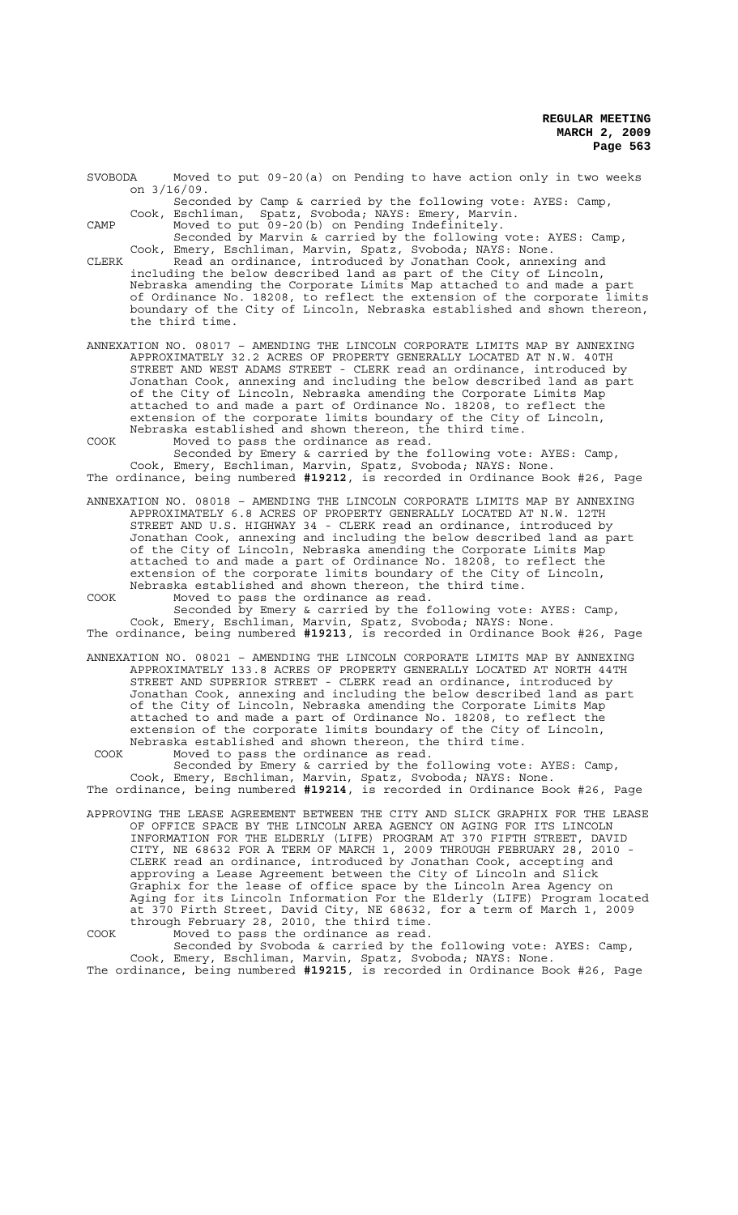SVOBODA Moved to put 09-20(a) on Pending to have action only in two weeks on 3/16/09.

Seconded by Camp & carried by the following vote: AYES: Camp, Cook, Eschliman, Spatz, Svoboda; NAYS: Emery, Marvin. Spatz, Svoboda; NAYS: Emery, Marvin.

CAMP Moved to put 09-20(b) on Pending Indefinitely.

Seconded by Marvin & carried by the following vote: AYES: Camp, Cook, Emery, Eschliman, Marvin, Spatz, Svoboda; NAYS: None.

CLERK Read an ordinance, introduced by Jonathan Cook, annexing and including the below described land as part of the City of Lincoln, Nebraska amending the Corporate Limits Map attached to and made a part of Ordinance No. 18208, to reflect the extension of the corporate limits boundary of the City of Lincoln, Nebraska established and shown thereon, the third time.

ANNEXATION NO. 08017 – AMENDING THE LINCOLN CORPORATE LIMITS MAP BY ANNEXING APPROXIMATELY 32.2 ACRES OF PROPERTY GENERALLY LOCATED AT N.W. 40TH STREET AND WEST ADAMS STREET - CLERK read an ordinance, introduced by Jonathan Cook, annexing and including the below described land as part of the City of Lincoln, Nebraska amending the Corporate Limits Map attached to and made a part of Ordinance No. 18208, to reflect the extension of the corporate limits boundary of the City of Lincoln, Nebraska established and shown thereon, the third time. COOK Moved to pass the ordinance as read.

Seconded by Emery & carried by the following vote: AYES: Camp, Cook, Emery, Eschliman, Marvin, Spatz, Svoboda; NAYS: None. The ordinance, being numbered **#19212**, is recorded in Ordinance Book #26, Page

ANNEXATION NO. 08018 – AMENDING THE LINCOLN CORPORATE LIMITS MAP BY ANNEXING APPROXIMATELY 6.8 ACRES OF PROPERTY GENERALLY LOCATED AT N.W. 12TH STREET AND U.S. HIGHWAY 34 - CLERK read an ordinance, introduced by Jonathan Cook, annexing and including the below described land as part of the City of Lincoln, Nebraska amending the Corporate Limits Map attached to and made a part of Ordinance No. 18208, to reflect the extension of the corporate limits boundary of the City of Lincoln, Nebraska established and shown thereon, the third time. COOK Moved to pass the ordinance as read.

Seconded by Emery & carried by the following vote: AYES: Camp, Cook, Emery, Eschliman, Marvin, Spatz, Svoboda; NAYS: None. The ordinance, being numbered **#19213**, is recorded in Ordinance Book #26, Page

ANNEXATION NO. 08021 – AMENDING THE LINCOLN CORPORATE LIMITS MAP BY ANNEXING APPROXIMATELY 133.8 ACRES OF PROPERTY GENERALLY LOCATED AT NORTH 44TH STREET AND SUPERIOR STREET - CLERK read an ordinance, introduced by Jonathan Cook, annexing and including the below described land as part of the City of Lincoln, Nebraska amending the Corporate Limits Map attached to and made a part of Ordinance No. 18208, to reflect the extension of the corporate limits boundary of the City of Lincoln, Nebraska established and shown thereon, the third time.

COOK Moved to pass the ordinance as read.

Seconded by Emery & carried by the following vote: AYES: Camp, Cook, Emery, Eschliman, Marvin, Spatz, Svoboda; NAYS: None. The ordinance, being numbered **#19214**, is recorded in Ordinance Book #26, Page

- APPROVING THE LEASE AGREEMENT BETWEEN THE CITY AND SLICK GRAPHIX FOR THE LEASE OF OFFICE SPACE BY THE LINCOLN AREA AGENCY ON AGING FOR ITS LINCOLN INFORMATION FOR THE ELDERLY (LIFE) PROGRAM AT 370 FIFTH STREET, DAVID CITY, NE 68632 FOR A TERM OF MARCH 1, 2009 THROUGH FEBRUARY 28, 2010 - CLERK read an ordinance, introduced by Jonathan Cook, accepting and approving a Lease Agreement between the City of Lincoln and Slick Graphix for the lease of office space by the Lincoln Area Agency on Aging for its Lincoln Information For the Elderly (LIFE) Program located at 370 Firth Street, David City, NE 68632, for a term of March 1, 2009 through February 28, 2010, the third time.
- COOK Moved to pass the ordinance as read. Seconded by Svoboda & carried by the following vote: AYES: Camp, Cook, Emery, Eschliman, Marvin, Spatz, Svoboda; NAYS: None.

The ordinance, being numbered **#19215**, is recorded in Ordinance Book #26, Page